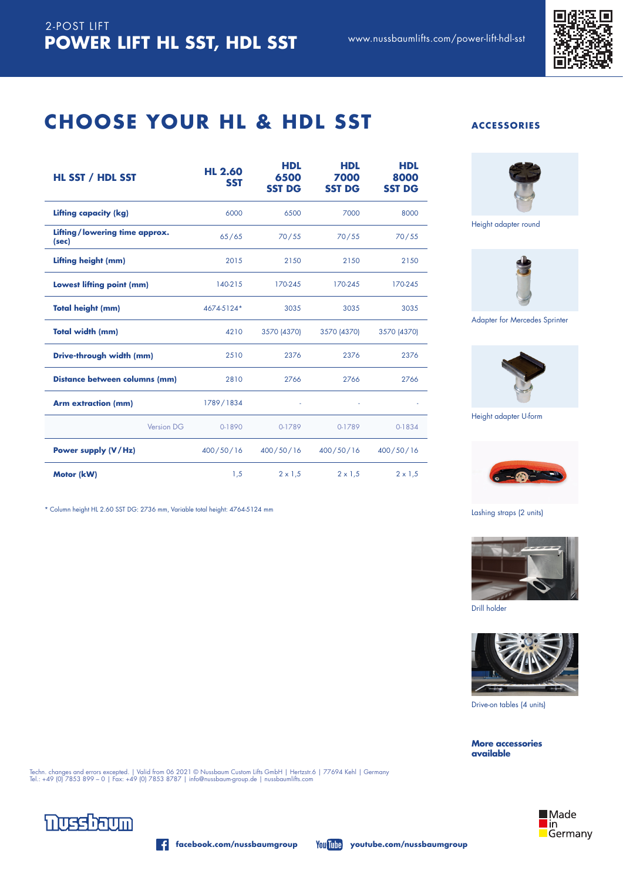

### **CHOOSE YOUR HL & HDL SST ACCESSORIES**

| HL SST / HDL SST                       | <b>HL 2.60</b><br><b>SST</b> | <b>HDL</b><br>6500<br><b>SST DG</b> | <b>HDL</b><br>7000<br><b>SST DG</b> | <b>HDL</b><br>8000<br><b>SST DG</b> |
|----------------------------------------|------------------------------|-------------------------------------|-------------------------------------|-------------------------------------|
| Lifting capacity (kg)                  | 6000                         | 6500                                | 7000                                | 8000                                |
| Lifting/lowering time approx.<br>(sec) | 65/65                        | 70/55                               | 70/55                               | 70/55                               |
| Lifting height (mm)                    | 2015                         | 2150                                | 2150                                | 2150                                |
| Lowest lifting point (mm)              | 140-215                      | 170-245                             | 170-245                             | 170-245                             |
| <b>Total height (mm)</b>               | 4674-5124*                   | 3035                                | 3035                                | 3035                                |
| Total width (mm)                       | 4210                         | 3570 (4370)                         | 3570 (4370)                         | 3570 (4370)                         |
| Drive-through width (mm)               | 2510                         | 2376                                | 2376                                | 2376                                |
| Distance between columns (mm)          | 2810                         | 2766                                | 2766                                | 2766                                |
| <b>Arm extraction (mm)</b>             | 1789/1834                    | ÷                                   | $\omega$                            |                                     |
| Version DG                             | 0-1890                       | 0-1789                              | 0-1789                              | 0-1834                              |
| Power supply (V/Hz)                    | 400/50/16                    | 400/50/16                           | 400/50/16                           | 400/50/16                           |
| Motor (kW)                             | 1,5                          | $2 \times 1.5$                      | $2 \times 1.5$                      | $2 \times 1,5$                      |

\* Column height HL 2.60 SST DG: 2736 mm, Variable total height: 4764-5124 mm



Height adapter round



Adapter for Mercedes Sprinter



Height adapter U-form



#### Lashing straps (2 units)



Drill holder



Drive-on tables (4 units)

**More accessories available**





*<u>nussbaum</u>* 

**facebook.com/nussbaumgroup youtube.com/nussbaumgroup**

Techn. changes and errors excepted. | Valid from 06 2021 © Nussbaum Custom Lifts GmbH | Hertzstr.6 | 77694 Kehl | Germany<br>Tel.: +49 (0) 7853 899 – 0 | Fax: +49 (0) 7853 8787 | info@nussbaum-group.de | nussbaumlifts.com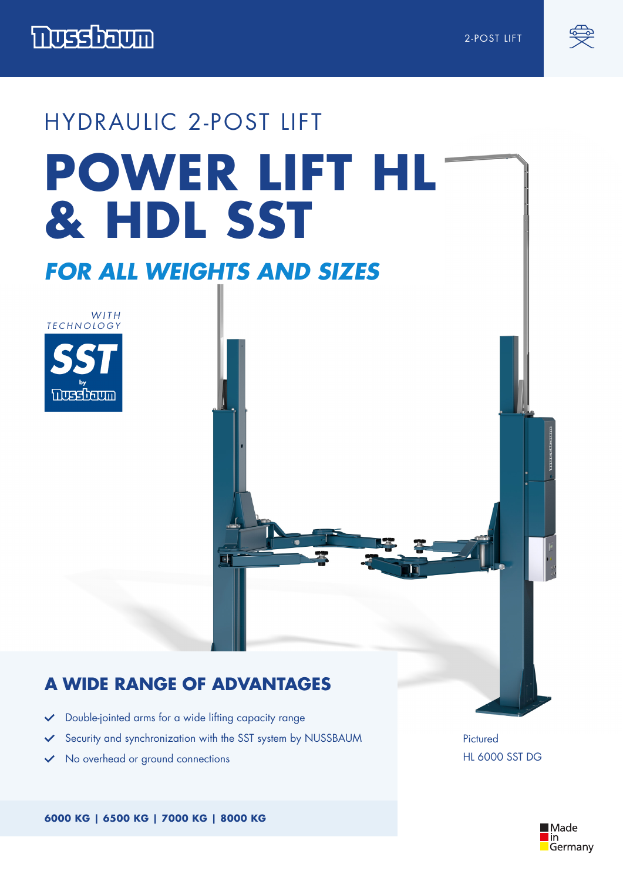



# HYDRAULIC 2-POST LIFT **POWER LIFT HL & HDL SST**

## *FOR ALL WEIGHTS AND SIZES*



#### **A WIDE RANGE OF ADVANTAGES**

- Double-jointed arms for a wide lifting capacity range  $\checkmark$
- Security and synchronization with the SST system by NUSSBAUM  $\checkmark$

 $\overline{\phantom{a}}$ 

No overhead or ground connections

Pictured HL 6000 SST DG

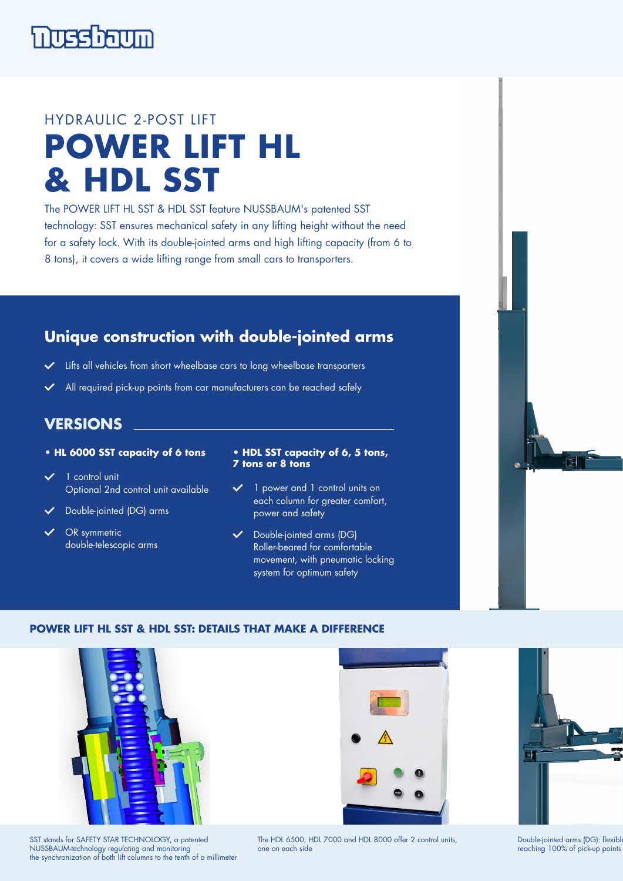

## HYDRAULIC 2-POST LIFT **POWER LIFT HL & HDL SST**

The POWER LIFT HL SST & HDL SST feature NUSSBAUM's patented SST technology: SST ensures mechanical safety in any lifting height without the need for a safety lock. With its double-jointed arms and high lifting capacity (from 6 to 8 tons), it covers a wide lifting range from small cars to transporters.

#### **Unique construction with double-jointed arms**

- Lifts all vehicles from short wheelbase cars to long wheelbase transporters
- All required pick-up points from car manufacturers can be reached safely

#### **VERSIONS**

- **HL 6000 SST capacity of 6 tons**
- $\checkmark$  1 control unit Optional 2nd control unit available
- Double-jointed (DG) arms
- OR symmetric double-telescopic arms
- **HDL SST capacity of 6, 5 tons, 7 tons or 8 tons**
- 1 power and 1 control units on each column for greater comfort, power and safety
- Double-jointed arms (DG) Roller-beared for comfortable movement, with pneumatic locking system for optimum safety

#### **POWER LIFT HL SST & HDL SST: DETAILS THAT MAKE A DIFFERENCE**



SST stands for SAFETY STAR TECHNOLOGY, a patented NUSSBAUM-technology regulating and monitoring the synchronization of both lift columns to the tenth of a millimeter





Double-jointed arms (DG): flexibl reaching 100% of pick-up points